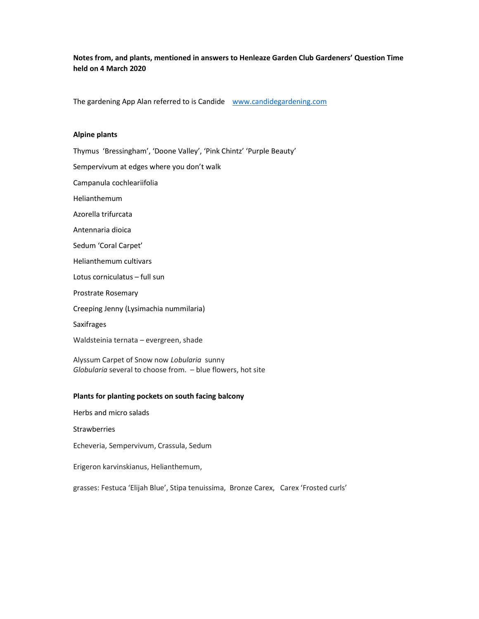Notes from, and plants, mentioned in answers to Henleaze Garden Club Gardeners' Question Time held on 4 March 2020

The gardening App Alan referred to is Candide www.candidegardening.com

### Alpine plants

Thymus 'Bressingham', 'Doone Valley', 'Pink Chintz' 'Purple Beauty' Sempervivum at edges where you don't walk Campanula cochleariifolia Helianthemum Azorella trifurcata Antennaria dioica Sedum 'Coral Carpet' Helianthemum cultivars Lotus corniculatus – full sun Prostrate Rosemary Creeping Jenny (Lysimachia nummilaria) Saxifrages Waldsteinia ternata – evergreen, shade Alyssum Carpet of Snow now Lobularia sunny Globularia several to choose from. – blue flowers, hot site

### Plants for planting pockets on south facing balcony

Herbs and micro salads

**Strawberries** 

Echeveria, Sempervivum, Crassula, Sedum

Erigeron karvinskianus, Helianthemum,

grasses: Festuca 'Elijah Blue', Stipa tenuissima, Bronze Carex, Carex 'Frosted curls'